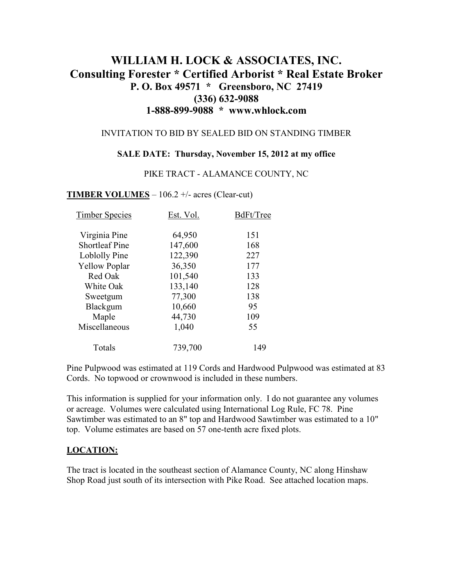# **WILLIAM H. LOCK & ASSOCIATES, INC. Consulting Forester \* Certified Arborist \* Real Estate Broker P. O. Box 49571 \* Greensboro, NC 27419 (336) 632-9088 1-888-899-9088 \* www.whlock.com**

#### INVITATION TO BID BY SEALED BID ON STANDING TIMBER

#### **SALE DATE: Thursday, November 15, 2012 at my office**

#### PIKE TRACT - ALAMANCE COUNTY, NC

### **TIMBER VOLUMES** – 106.2 +/- acres (Clear-cut)

| <b>Timber Species</b> | Est. Vol. | BdFt/Tree |
|-----------------------|-----------|-----------|
| Virginia Pine         | 64,950    | 151       |
| <b>Shortleaf Pine</b> | 147,600   | 168       |
| Loblolly Pine         | 122,390   | 227       |
| <b>Yellow Poplar</b>  | 36,350    | 177       |
| Red Oak               | 101,540   | 133       |
| White Oak             | 133,140   | 128       |
| Sweetgum              | 77,300    | 138       |
| Blackgum              | 10,660    | 95        |
| Maple                 | 44,730    | 109       |
| Miscellaneous         | 1,040     | 55        |
| Totals                | 739,700   | 149       |

Pine Pulpwood was estimated at 119 Cords and Hardwood Pulpwood was estimated at 83 Cords. No topwood or crownwood is included in these numbers.

This information is supplied for your information only. I do not guarantee any volumes or acreage. Volumes were calculated using International Log Rule, FC 78. Pine Sawtimber was estimated to an 8" top and Hardwood Sawtimber was estimated to a 10" top. Volume estimates are based on 57 one-tenth acre fixed plots.

### **LOCATION:**

The tract is located in the southeast section of Alamance County, NC along Hinshaw Shop Road just south of its intersection with Pike Road. See attached location maps.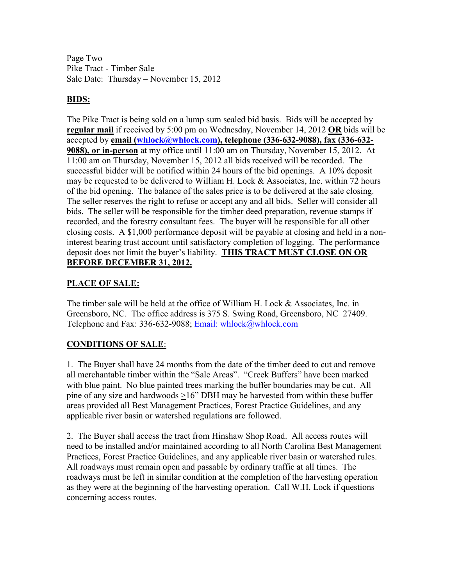Page Two Pike Tract - Timber Sale Sale Date: Thursday – November 15, 2012

## **BIDS:**

The Pike Tract is being sold on a lump sum sealed bid basis. Bids will be accepted by **regular mail** if received by 5:00 pm on Wednesday, November 14, 2012 **OR** bids will be accepted by **email (whlock@whlock.com), telephone (336-632-9088), fax (336-632- 9088), or in-person** at my office until 11:00 am on Thursday, November 15, 2012. At 11:00 am on Thursday, November 15, 2012 all bids received will be recorded. The successful bidder will be notified within 24 hours of the bid openings. A 10% deposit may be requested to be delivered to William H. Lock & Associates, Inc. within 72 hours of the bid opening. The balance of the sales price is to be delivered at the sale closing. The seller reserves the right to refuse or accept any and all bids. Seller will consider all bids. The seller will be responsible for the timber deed preparation, revenue stamps if recorded, and the forestry consultant fees. The buyer will be responsible for all other closing costs. A \$1,000 performance deposit will be payable at closing and held in a noninterest bearing trust account until satisfactory completion of logging. The performance deposit does not limit the buyer's liability. **THIS TRACT MUST CLOSE ON OR BEFORE DECEMBER 31, 2012.**

## **PLACE OF SALE:**

The timber sale will be held at the office of William H. Lock & Associates, Inc. in Greensboro, NC. The office address is 375 S. Swing Road, Greensboro, NC 27409. Telephone and Fax: 336-632-9088; Email: whlock@whlock.com

### **CONDITIONS OF SALE**:

1. The Buyer shall have 24 months from the date of the timber deed to cut and remove all merchantable timber within the "Sale Areas". "Creek Buffers" have been marked with blue paint. No blue painted trees marking the buffer boundaries may be cut. All pine of any size and hardwoods >16" DBH may be harvested from within these buffer areas provided all Best Management Practices, Forest Practice Guidelines, and any applicable river basin or watershed regulations are followed.

2. The Buyer shall access the tract from Hinshaw Shop Road. All access routes will need to be installed and/or maintained according to all North Carolina Best Management Practices, Forest Practice Guidelines, and any applicable river basin or watershed rules. All roadways must remain open and passable by ordinary traffic at all times. The roadways must be left in similar condition at the completion of the harvesting operation as they were at the beginning of the harvesting operation. Call W.H. Lock if questions concerning access routes.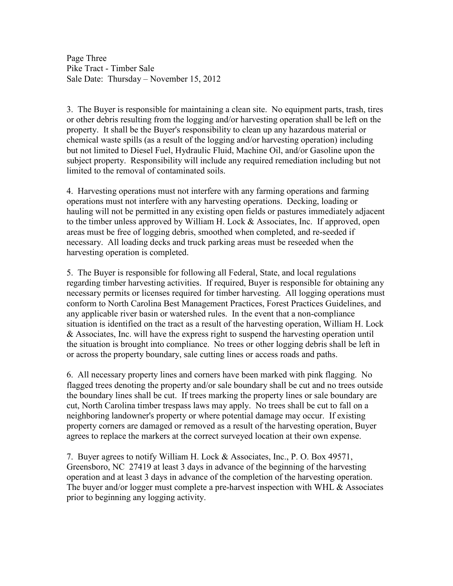Page Three Pike Tract - Timber Sale Sale Date: Thursday – November 15, 2012

3. The Buyer is responsible for maintaining a clean site. No equipment parts, trash, tires or other debris resulting from the logging and/or harvesting operation shall be left on the property. It shall be the Buyer's responsibility to clean up any hazardous material or chemical waste spills (as a result of the logging and/or harvesting operation) including but not limited to Diesel Fuel, Hydraulic Fluid, Machine Oil, and/or Gasoline upon the subject property. Responsibility will include any required remediation including but not limited to the removal of contaminated soils.

4. Harvesting operations must not interfere with any farming operations and farming operations must not interfere with any harvesting operations. Decking, loading or hauling will not be permitted in any existing open fields or pastures immediately adjacent to the timber unless approved by William H. Lock & Associates, Inc. If approved, open areas must be free of logging debris, smoothed when completed, and re-seeded if necessary. All loading decks and truck parking areas must be reseeded when the harvesting operation is completed.

5. The Buyer is responsible for following all Federal, State, and local regulations regarding timber harvesting activities. If required, Buyer is responsible for obtaining any necessary permits or licenses required for timber harvesting. All logging operations must conform to North Carolina Best Management Practices, Forest Practices Guidelines, and any applicable river basin or watershed rules. In the event that a non-compliance situation is identified on the tract as a result of the harvesting operation, William H. Lock & Associates, Inc. will have the express right to suspend the harvesting operation until the situation is brought into compliance. No trees or other logging debris shall be left in or across the property boundary, sale cutting lines or access roads and paths.

6. All necessary property lines and corners have been marked with pink flagging. No flagged trees denoting the property and/or sale boundary shall be cut and no trees outside the boundary lines shall be cut. If trees marking the property lines or sale boundary are cut, North Carolina timber trespass laws may apply. No trees shall be cut to fall on a neighboring landowner's property or where potential damage may occur. If existing property corners are damaged or removed as a result of the harvesting operation, Buyer agrees to replace the markers at the correct surveyed location at their own expense.

7. Buyer agrees to notify William H. Lock & Associates, Inc., P. O. Box 49571, Greensboro, NC 27419 at least 3 days in advance of the beginning of the harvesting operation and at least 3 days in advance of the completion of the harvesting operation. The buyer and/or logger must complete a pre-harvest inspection with WHL & Associates prior to beginning any logging activity.